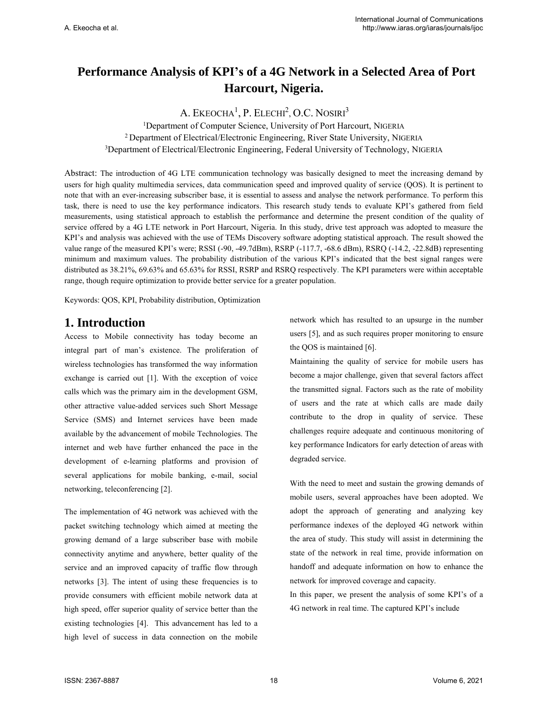# **Performance Analysis of KPI's of a 4G Network in a Selected Area of Port Harcourt, Nigeria.**

A. EKEOCHA<sup>1</sup>, P. ELECHI<sup>2</sup>, O.C. NOSIRI<sup>3</sup>

<sup>1</sup>Department of Computer Science, University of Port Harcourt, NIGERIA <sup>2</sup> Department of Electrical/Electronic Engineering, River State University, NIGERIA <sup>3</sup>Department of Electrical/Electronic Engineering, Federal University of Technology, NIGERIA

Abstract: The introduction of 4G LTE communication technology was basically designed to meet the increasing demand by users for high quality multimedia services, data communication speed and improved quality of service (QOS). It is pertinent to note that with an ever-increasing subscriber base, it is essential to assess and analyse the network performance. To perform this task, there is need to use the key performance indicators. This research study tends to evaluate KPI's gathered from field measurements, using statistical approach to establish the performance and determine the present condition of the quality of service offered by a 4G LTE network in Port Harcourt, Nigeria. In this study, drive test approach was adopted to measure the KPI's and analysis was achieved with the use of TEMs Discovery software adopting statistical approach. The result showed the value range of the measured KPI's were; RSSI (-90, -49.7dBm), RSRP (-117.7, -68.6 dBm), RSRQ (-14.2, -22.8dB) representing minimum and maximum values. The probability distribution of the various KPI's indicated that the best signal ranges were distributed as 38.21%, 69.63% and 65.63% for RSSI, RSRP and RSRQ respectively. The KPI parameters were within acceptable range, though require optimization to provide better service for a greater population.

Keywords: QOS, KPI, Probability distribution, Optimization

# **1. Introduction**

Access to Mobile connectivity has today become an integral part of man's existence. The proliferation of wireless technologies has transformed the way information exchange is carried out [1]. With the exception of voice calls which was the primary aim in the development GSM, other attractive value-added services such Short Message Service (SMS) and Internet services have been made available by the advancement of mobile Technologies. The internet and web have further enhanced the pace in the development of e-learning platforms and provision of several applications for mobile banking, e-mail, social networking, teleconferencing [2].

The implementation of 4G network was achieved with the packet switching technology which aimed at meeting the growing demand of a large subscriber base with mobile connectivity anytime and anywhere, better quality of the service and an improved capacity of traffic flow through networks [3]. The intent of using these frequencies is to provide consumers with efficient mobile network data at high speed, offer superior quality of service better than the existing technologies [4]. This advancement has led to a high level of success in data connection on the mobile network which has resulted to an upsurge in the number users [5], and as such requires proper monitoring to ensure the QOS is maintained [6].

Maintaining the quality of service for mobile users has become a major challenge, given that several factors affect the transmitted signal. Factors such as the rate of mobility of users and the rate at which calls are made daily contribute to the drop in quality of service. These challenges require adequate and continuous monitoring of key performance Indicators for early detection of areas with degraded service.

With the need to meet and sustain the growing demands of mobile users, several approaches have been adopted. We adopt the approach of generating and analyzing key performance indexes of the deployed 4G network within the area of study. This study will assist in determining the state of the network in real time, provide information on handoff and adequate information on how to enhance the network for improved coverage and capacity.

In this paper, we present the analysis of some KPI's of a 4G network in real time. The captured KPI's include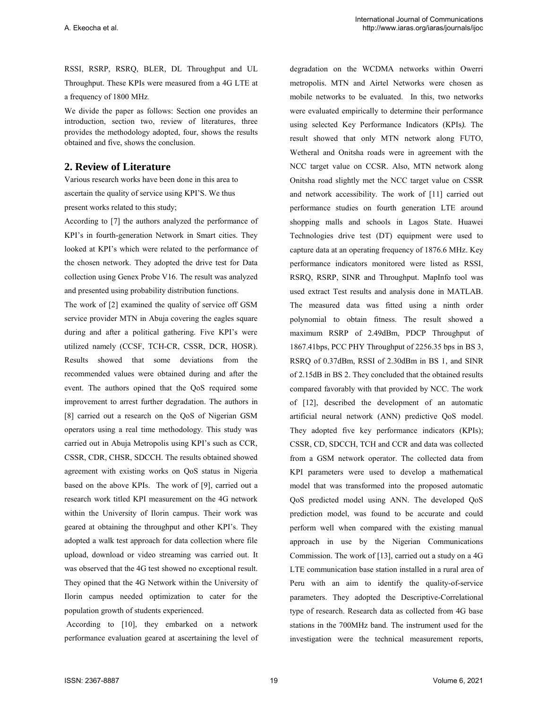RSSI, RSRP, RSRQ, BLER, DL Throughput and UL Throughput. These KPIs were measured from a 4G LTE at a frequency of 1800 MHz.

We divide the paper as follows: Section one provides an introduction, section two, review of literatures, three provides the methodology adopted, four, shows the results obtained and five, shows the conclusion.

## **2. Review of Literature**

Various research works have been done in this area to ascertain the quality of service using KPI'S. We thus present works related to this study;

According to [7] the authors analyzed the performance of KPI's in fourth-generation Network in Smart cities. They looked at KPI's which were related to the performance of the chosen network. They adopted the drive test for Data collection using Genex Probe V16. The result was analyzed and presented using probability distribution functions.

The work of [2] examined the quality of service off GSM service provider MTN in Abuja covering the eagles square during and after a political gathering. Five KPI's were utilized namely (CCSF, TCH-CR, CSSR, DCR, HOSR). Results showed that some deviations from the recommended values were obtained during and after the event. The authors opined that the QoS required some improvement to arrest further degradation. The authors in [8] carried out a research on the QoS of Nigerian GSM operators using a real time methodology. This study was carried out in Abuja Metropolis using KPI's such as CCR, CSSR, CDR, CHSR, SDCCH. The results obtained showed agreement with existing works on QoS status in Nigeria based on the above KPIs. The work of [9], carried out a research work titled KPI measurement on the 4G network within the University of Ilorin campus. Their work was geared at obtaining the throughput and other KPI's. They adopted a walk test approach for data collection where file upload, download or video streaming was carried out. It was observed that the 4G test showed no exceptional result. They opined that the 4G Network within the University of Ilorin campus needed optimization to cater for the population growth of students experienced.

 According to [10], they embarked on a network performance evaluation geared at ascertaining the level of degradation on the WCDMA networks within Owerri metropolis. MTN and Airtel Networks were chosen as mobile networks to be evaluated. In this, two networks were evaluated empirically to determine their performance using selected Key Performance Indicators (KPIs*).* The result showed that only MTN network along FUTO, Wetheral and Onitsha roads were in agreement with the NCC target value on CCSR. Also, MTN network along Onitsha road slightly met the NCC target value on CSSR and network accessibility. The work of [11] carried out performance studies on fourth generation LTE around shopping malls and schools in Lagos State. Huawei Technologies drive test (DT) equipment were used to capture data at an operating frequency of 1876.6 MHz. Key performance indicators monitored were listed as RSSI, RSRQ, RSRP, SINR and Throughput. MapInfo tool was used extract Test results and analysis done in MATLAB. The measured data was fitted using a ninth order polynomial to obtain fitness. The result showed a maximum RSRP of 2.49dBm, PDCP Throughput of 1867.41bps, PCC PHY Throughput of 2256.35 bps in BS 3, RSRQ of 0.37dBm, RSSI of 2.30dBm in BS 1, and SINR of 2.15dB in BS 2. They concluded that the obtained results compared favorably with that provided by NCC. The work of [12], described the development of an automatic artificial neural network (ANN) predictive QoS model. They adopted five key performance indicators (KPIs); CSSR, CD, SDCCH, TCH and CCR and data was collected from a GSM network operator. The collected data from KPI parameters were used to develop a mathematical model that was transformed into the proposed automatic QoS predicted model using ANN. The developed QoS prediction model, was found to be accurate and could perform well when compared with the existing manual approach in use by the Nigerian Communications Commission. The work of [13], carried out a study on a 4G LTE communication base station installed in a rural area of Peru with an aim to identify the quality-of-service parameters. They adopted the Descriptive-Correlational type of research. Research data as collected from 4G base stations in the 700MHz band. The instrument used for the investigation were the technical measurement reports,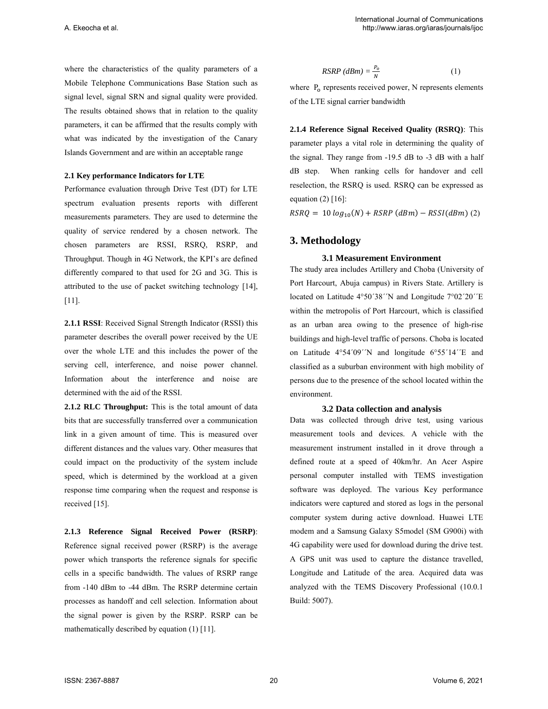where the characteristics of the quality parameters of a Mobile Telephone Communications Base Station such as signal level, signal SRN and signal quality were provided. The results obtained shows that in relation to the quality parameters, it can be affirmed that the results comply with what was indicated by the investigation of the Canary Islands Government and are within an acceptable range

#### **2.1 Key performance Indicators for LTE**

Performance evaluation through Drive Test (DT) for LTE spectrum evaluation presents reports with different measurements parameters. They are used to determine the quality of service rendered by a chosen network. The chosen parameters are RSSI, RSRQ, RSRP, and Throughput. Though in 4G Network, the KPI's are defined differently compared to that used for 2G and 3G. This is attributed to the use of packet switching technology [14], [11].

**2.1.1 RSSI**: Received Signal Strength Indicator (RSSI) this parameter describes the overall power received by the UE over the whole LTE and this includes the power of the serving cell, interference, and noise power channel. Information about the interference and noise are determined with the aid of the RSSI.

**2.1.2 RLC Throughput:** This is the total amount of data bits that are successfully transferred over a communication link in a given amount of time. This is measured over different distances and the values vary. Other measures that could impact on the productivity of the system include speed, which is determined by the workload at a given response time comparing when the request and response is received [15].

**2.1.3 Reference Signal Received Power (RSRP)**: Reference signal received power (RSRP) is the average power which transports the reference signals for specific cells in a specific bandwidth. The values of RSRP range from -140 dBm to -44 dBm. The RSRP determine certain processes as handoff and cell selection. Information about the signal power is given by the RSRP. RSRP can be mathematically described by equation (1) [11].

$$
RSRP (dBm) = \frac{P_o}{N}
$$
 (1)

where  $P<sub>o</sub>$  represents received power, N represents elements of the LTE signal carrier bandwidth

**2.1.4 Reference Signal Received Quality (RSRQ)**: This parameter plays a vital role in determining the quality of the signal. They range from -19.5 dB to -3 dB with a half dB step. When ranking cells for handover and cell reselection, the RSRQ is used. RSRQ can be expressed as equation  $(2)$  [16]:

 $RSRQ = 10 log_{10}(N) + RSRP (dBm) - RSSI (dBm)$  (2)

### **3. Methodology**

### **3.1 Measurement Environment**

The study area includes Artillery and Choba (University of Port Harcourt, Abuja campus) in Rivers State. Artillery is located on Latitude 4°50´38´´N and Longitude 7°02´20´´E within the metropolis of Port Harcourt, which is classified as an urban area owing to the presence of high-rise buildings and high-level traffic of persons. Choba is located on Latitude 4°54´09´´N and longitude 6°55´14´´E and classified as a suburban environment with high mobility of persons due to the presence of the school located within the environment.

#### **3.2 Data collection and analysis**

Data was collected through drive test, using various measurement tools and devices. A vehicle with the measurement instrument installed in it drove through a defined route at a speed of 40km/hr. An Acer Aspire personal computer installed with TEMS investigation software was deployed. The various Key performance indicators were captured and stored as logs in the personal computer system during active download. Huawei LTE modem and a Samsung Galaxy S5model (SM G900i) with 4G capability were used for download during the drive test. A GPS unit was used to capture the distance travelled, Longitude and Latitude of the area. Acquired data was analyzed with the TEMS Discovery Professional (10.0.1 Build: 5007).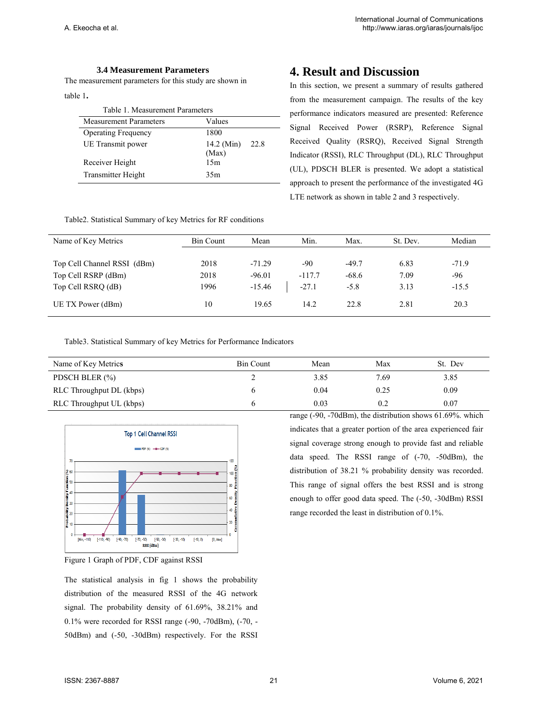### **3.4 Measurement Parameters**

The measurement parameters for this study are shown in

table 1**.** 

| Table 1. Measurement Parameters |                             |  |  |  |  |
|---------------------------------|-----------------------------|--|--|--|--|
| <b>Measurement Parameters</b>   | Values                      |  |  |  |  |
| <b>Operating Frequency</b>      | 1800                        |  |  |  |  |
| UE Transmit power               | 14.2 (Min)<br>22.8<br>(Max) |  |  |  |  |
| Receiver Height                 | 15m                         |  |  |  |  |
| <b>Transmitter Height</b>       | 35m                         |  |  |  |  |

# **4. Result and Discussion**

In this section, we present a summary of results gathered from the measurement campaign. The results of the key performance indicators measured are presented: Reference Signal Received Power (RSRP), Reference Signal Received Quality (RSRQ), Received Signal Strength Indicator (RSSI), RLC Throughput (DL), RLC Throughput (UL), PDSCH BLER is presented. We adopt a statistical approach to present the performance of the investigated 4G LTE network as shown in table 2 and 3 respectively.

Table2. Statistical Summary of key Metrics for RF conditions

| Name of Key Metrics         | <b>Bin Count</b> | Mean     | Min.     | Max.    | St. Dev. | Median  |
|-----------------------------|------------------|----------|----------|---------|----------|---------|
|                             |                  |          |          |         |          |         |
| Top Cell Channel RSSI (dBm) | 2018             | $-71.29$ | $-90$    | $-49.7$ | 6.83     | $-71.9$ |
| Top Cell RSRP (dBm)         | 2018             | $-96.01$ | $-117.7$ | $-68.6$ | 7.09     | -96     |
| Top Cell RSRQ (dB)          | 1996             | $-15.46$ | $-27.1$  | $-5.8$  | 3.13     | $-15.5$ |
| UE TX Power (dBm)           | 10               | 19.65    | 14.2     | 22.8    | 2.81     | 20.3    |

Table3. Statistical Summary of key Metrics for Performance Indicators

| Name of Key Metrics      | <b>Bin Count</b> | Mean | Max  | St. Dev |
|--------------------------|------------------|------|------|---------|
| PDSCH BLER (%)           |                  | 3.85 | 7.69 | 3.85    |
| RLC Throughput DL (kbps) |                  | 0.04 | 0.25 | 0.09    |
| RLC Throughput UL (kbps) |                  | 0.03 | 0.2  | 0.07    |



Figure 1 Graph of PDF, CDF against RSSI

The statistical analysis in fig 1 shows the probability distribution of the measured RSSI of the 4G network signal. The probability density of 61.69%, 38.21% and 0.1% were recorded for RSSI range (-90, -70dBm), (-70, - 50dBm) and (-50, -30dBm) respectively. For the RSSI

range (-90, -70dBm), the distribution shows 61.69%. which indicates that a greater portion of the area experienced fair signal coverage strong enough to provide fast and reliable data speed. The RSSI range of (-70, -50dBm), the distribution of 38.21 % probability density was recorded. This range of signal offers the best RSSI and is strong enough to offer good data speed. The (-50, -30dBm) RSSI range recorded the least in distribution of 0.1%.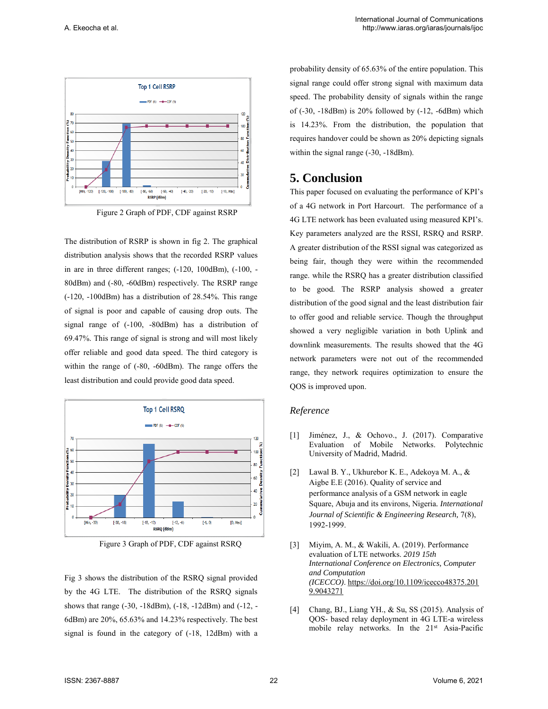

Figure 2 Graph of PDF, CDF against RSRP

The distribution of RSRP is shown in fig 2. The graphical distribution analysis shows that the recorded RSRP values in are in three different ranges; (-120, 100dBm), (-100, - 80dBm) and (-80, -60dBm) respectively. The RSRP range (-120, -100dBm) has a distribution of 28.54%. This range of signal is poor and capable of causing drop outs. The signal range of (-100, -80dBm) has a distribution of 69.47%. This range of signal is strong and will most likely offer reliable and good data speed. The third category is within the range of (-80, -60dBm). The range offers the least distribution and could provide good data speed.



Figure 3 Graph of PDF, CDF against RSRQ

Fig 3 shows the distribution of the RSRQ signal provided by the 4G LTE. The distribution of the RSRQ signals shows that range (-30, -18dBm), (-18, -12dBm) and (-12, - 6dBm) are 20%, 65.63% and 14.23% respectively. The best signal is found in the category of (-18, 12dBm) with a probability density of 65.63% of the entire population. This signal range could offer strong signal with maximum data speed. The probability density of signals within the range of  $(-30, -18d$ Bm) is  $20\%$  followed by  $(-12, -6d$ Bm) which is 14.23%. From the distribution, the population that requires handover could be shown as 20% depicting signals within the signal range (-30, -18dBm).

# **5. Conclusion**

This paper focused on evaluating the performance of KPI's of a 4G network in Port Harcourt. The performance of a 4G LTE network has been evaluated using measured KPI's. Key parameters analyzed are the RSSI, RSRQ and RSRP. A greater distribution of the RSSI signal was categorized as being fair, though they were within the recommended range. while the RSRQ has a greater distribution classified to be good. The RSRP analysis showed a greater distribution of the good signal and the least distribution fair to offer good and reliable service. Though the throughput showed a very negligible variation in both Uplink and downlink measurements. The results showed that the 4G network parameters were not out of the recommended range, they network requires optimization to ensure the QOS is improved upon.

### *Reference*

- [1] Jiménez, J., & Ochovo., J. (2017). Comparative Evaluation of Mobile Networks. Polytechnic University of Madrid, Madrid.
- [2] Lawal B. Y., Ukhurebor K. E., Adekoya M. A., & Aigbe E.E (2016). Quality of service and performance analysis of a GSM network in eagle Square, Abuja and its environs, Nigeria*. International Journal of Scientific & Engineering Research,* 7(8), 1992-1999.
- [3] Miyim, A. M., & Wakili, A. (2019). Performance evaluation of LTE networks. *2019 15th International Conference on Electronics, Computer and Computation (ICECCO)*. [https://doi.org/10.1109/icecco48375.201](https://doi.org/10.1109/icecco48375.2019.9043271) [9.9043271](https://doi.org/10.1109/icecco48375.2019.9043271)
- [4] Chang, BJ., Liang YH., & Su, SS (2015). Analysis of QOS- based relay deployment in 4G LTE-a wireless mobile relay networks. In the 21<sup>st</sup> Asia-Pacific